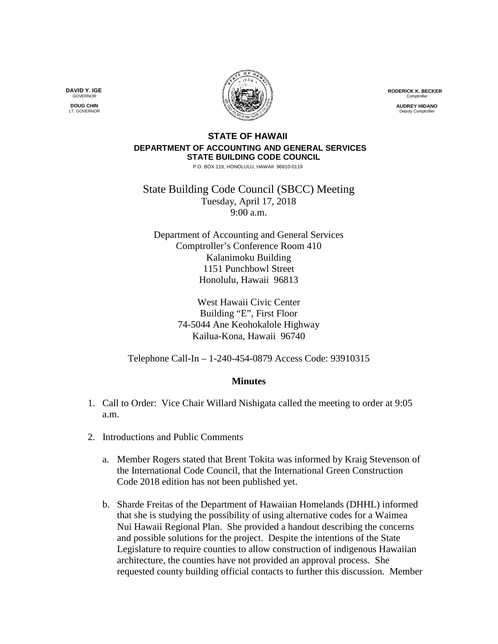**RODERICK K. BECKER** Comptrolle

> **AUDREY HIDANO** Deputy Comptr

## **STATE OF HAWAII DEPARTMENT OF ACCOUNTING AND GENERAL SERVICES STATE BUILDING CODE COUNCIL**

P.O. BOX 119, HONOLULU, HAWAII 96810-0119

State Building Code Council (SBCC) Meeting Tuesday, April 17, 2018 9:00 a.m.

Department of Accounting and General Services Comptroller's Conference Room 410 Kalanimoku Building 1151 Punchbowl Street Honolulu, Hawaii 96813

> West Hawaii Civic Center Building "E", First Floor 74-5044 Ane Keohokalole Highway Kailua-Kona, Hawaii 96740

Telephone Call-In – 1-240-454-0879 Access Code: 93910315

## **Minutes**

- 1. Call to Order: Vice Chair Willard Nishigata called the meeting to order at 9:05 a.m.
- 2. Introductions and Public Comments
	- a. Member Rogers stated that Brent Tokita was informed by Kraig Stevenson of the International Code Council, that the International Green Construction Code 2018 edition has not been published yet.
	- b. Sharde Freitas of the Department of Hawaiian Homelands (DHHL) informed that she is studying the possibility of using alternative codes for a Waimea Nui Hawaii Regional Plan. She provided a handout describing the concerns and possible solutions for the project. Despite the intentions of the State Legislature to require counties to allow construction of indigenous Hawaiian architecture, the counties have not provided an approval process. She requested county building official contacts to further this discussion. Member

**DAVID Y. IGE GOVERNOR DOUG CHIN**

LT. GOVERNOR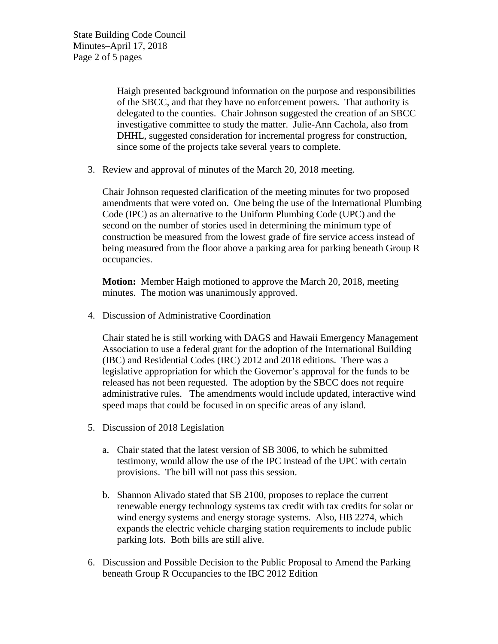State Building Code Council Minutes–April 17, 2018 Page 2 of 5 pages

> Haigh presented background information on the purpose and responsibilities of the SBCC, and that they have no enforcement powers. That authority is delegated to the counties. Chair Johnson suggested the creation of an SBCC investigative committee to study the matter. Julie-Ann Cachola, also from DHHL, suggested consideration for incremental progress for construction, since some of the projects take several years to complete.

3. Review and approval of minutes of the March 20, 2018 meeting.

Chair Johnson requested clarification of the meeting minutes for two proposed amendments that were voted on. One being the use of the International Plumbing Code (IPC) as an alternative to the Uniform Plumbing Code (UPC) and the second on the number of stories used in determining the minimum type of construction be measured from the lowest grade of fire service access instead of being measured from the floor above a parking area for parking beneath Group R occupancies.

**Motion:** Member Haigh motioned to approve the March 20, 2018, meeting minutes. The motion was unanimously approved.

4. Discussion of Administrative Coordination

Chair stated he is still working with DAGS and Hawaii Emergency Management Association to use a federal grant for the adoption of the International Building (IBC) and Residential Codes (IRC) 2012 and 2018 editions. There was a legislative appropriation for which the Governor's approval for the funds to be released has not been requested. The adoption by the SBCC does not require administrative rules. The amendments would include updated, interactive wind speed maps that could be focused in on specific areas of any island.

- 5. Discussion of 2018 Legislation
	- a. Chair stated that the latest version of SB 3006, to which he submitted testimony, would allow the use of the IPC instead of the UPC with certain provisions. The bill will not pass this session.
	- b. Shannon Alivado stated that SB 2100, proposes to replace the current renewable energy technology systems tax credit with tax credits for solar or wind energy systems and energy storage systems. Also, HB 2274, which expands the electric vehicle charging station requirements to include public parking lots. Both bills are still alive.
- 6. Discussion and Possible Decision to the Public Proposal to Amend the Parking beneath Group R Occupancies to the IBC 2012 Edition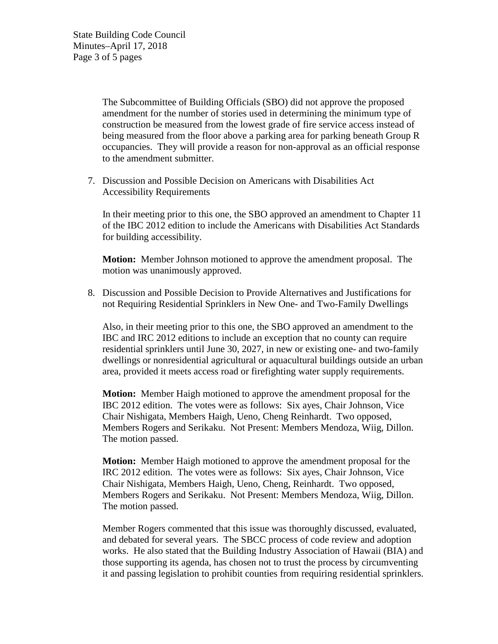State Building Code Council Minutes–April 17, 2018 Page 3 of 5 pages

> The Subcommittee of Building Officials (SBO) did not approve the proposed amendment for the number of stories used in determining the minimum type of construction be measured from the lowest grade of fire service access instead of being measured from the floor above a parking area for parking beneath Group R occupancies. They will provide a reason for non-approval as an official response to the amendment submitter.

7. Discussion and Possible Decision on Americans with Disabilities Act Accessibility Requirements

In their meeting prior to this one, the SBO approved an amendment to Chapter 11 of the IBC 2012 edition to include the Americans with Disabilities Act Standards for building accessibility.

**Motion:** Member Johnson motioned to approve the amendment proposal. The motion was unanimously approved.

8. Discussion and Possible Decision to Provide Alternatives and Justifications for not Requiring Residential Sprinklers in New One- and Two-Family Dwellings

Also, in their meeting prior to this one, the SBO approved an amendment to the IBC and IRC 2012 editions to include an exception that no county can require residential sprinklers until June 30, 2027, in new or existing one- and two-family dwellings or nonresidential agricultural or aquacultural buildings outside an urban area, provided it meets access road or firefighting water supply requirements.

**Motion:** Member Haigh motioned to approve the amendment proposal for the IBC 2012 edition. The votes were as follows: Six ayes, Chair Johnson, Vice Chair Nishigata, Members Haigh, Ueno, Cheng Reinhardt. Two opposed, Members Rogers and Serikaku. Not Present: Members Mendoza, Wiig, Dillon. The motion passed.

**Motion:** Member Haigh motioned to approve the amendment proposal for the IRC 2012 edition. The votes were as follows: Six ayes, Chair Johnson, Vice Chair Nishigata, Members Haigh, Ueno, Cheng, Reinhardt. Two opposed, Members Rogers and Serikaku. Not Present: Members Mendoza, Wiig, Dillon. The motion passed.

Member Rogers commented that this issue was thoroughly discussed, evaluated, and debated for several years. The SBCC process of code review and adoption works. He also stated that the Building Industry Association of Hawaii (BIA) and those supporting its agenda, has chosen not to trust the process by circumventing it and passing legislation to prohibit counties from requiring residential sprinklers.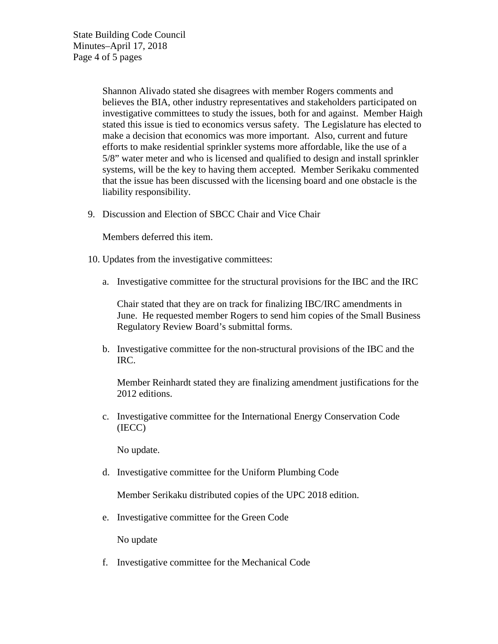State Building Code Council Minutes–April 17, 2018 Page 4 of 5 pages

> Shannon Alivado stated she disagrees with member Rogers comments and believes the BIA, other industry representatives and stakeholders participated on investigative committees to study the issues, both for and against. Member Haigh stated this issue is tied to economics versus safety. The Legislature has elected to make a decision that economics was more important. Also, current and future efforts to make residential sprinkler systems more affordable, like the use of a 5/8" water meter and who is licensed and qualified to design and install sprinkler systems, will be the key to having them accepted. Member Serikaku commented that the issue has been discussed with the licensing board and one obstacle is the liability responsibility.

9. Discussion and Election of SBCC Chair and Vice Chair

Members deferred this item.

- 10. Updates from the investigative committees:
	- a. Investigative committee for the structural provisions for the IBC and the IRC

Chair stated that they are on track for finalizing IBC/IRC amendments in June. He requested member Rogers to send him copies of the Small Business Regulatory Review Board's submittal forms.

b. Investigative committee for the non-structural provisions of the IBC and the IRC.

Member Reinhardt stated they are finalizing amendment justifications for the 2012 editions.

c. Investigative committee for the International Energy Conservation Code (IECC)

No update.

d. Investigative committee for the Uniform Plumbing Code

Member Serikaku distributed copies of the UPC 2018 edition.

e. Investigative committee for the Green Code

No update

f. Investigative committee for the Mechanical Code